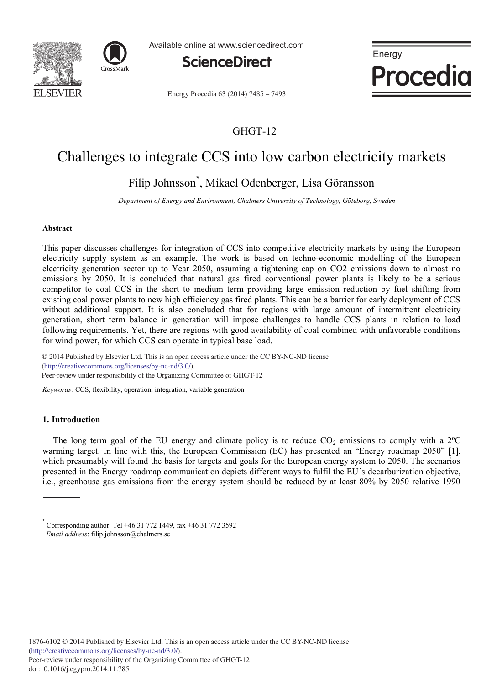



Available online at www.sciencedirect.com



Energy **Procedia** 

Energy Procedia 63 (2014) 7485 - 7493

### GHGT-12

## Challenges to integrate CCS into low carbon electricity markets

## Filip Johnsson\* , Mikael Odenberger, Lisa Göransson

*Department of Energy and Environment, Chalmers University of Technology, Göteborg, Sweden*

#### **Abstract**

This paper discusses challenges for integration of CCS into competitive electricity markets by using the European electricity supply system as an example. The work is based on techno-economic modelling of the European electricity generation sector up to Year 2050, assuming a tightening cap on CO2 emissions down to almost no emissions by 2050. It is concluded that natural gas fired conventional power plants is likely to be a serious competitor to coal CCS in the short to medium term providing large emission reduction by fuel shifting from existing coal power plants to new high efficiency gas fired plants. This can be a barrier for early deployment of CCS without additional support. It is also concluded that for regions with large amount of intermittent electricity generation, short term balance in generation will impose challenges to handle CCS plants in relation to load following requirements. Yet, there are regions with good availability of coal combined with unfavorable conditions for wind power, for which CCS can operate in typical base load.

© 2014 Published by Elsevier Ltd. This is an open access article under the CC BY-NC-ND license (imp.//creativecommons.org/neenses/oy-ne-na/5.0/).<br>Peer-review under responsibility of the Organizing Committee of GHGT-12 (http://creativecommons.org/licenses/by-nc-nd/3.0/).

*Keywords:* CCS, flexibility, operation, integration, variable generation

#### **1. Introduction**

The long term goal of the EU energy and climate policy is to reduce  $CO_2$  emissions to comply with a  $2^{\circ}C$ warming target. In line with this, the European Commission (EC) has presented an "Energy roadmap 2050" [1], which presumably will found the basis for targets and goals for the European energy system to 2050. The scenarios presented in the Energy roadmap communication depicts different ways to fulfil the EU´s decarburization objective, i.e., greenhouse gas emissions from the energy system should be reduced by at least 80% by 2050 relative 1990

<sup>\*</sup> Corresponding author: Tel +46 31 772 1449, fax +46 31 772 3592  *Email address*: filip.johnsson@chalmers.se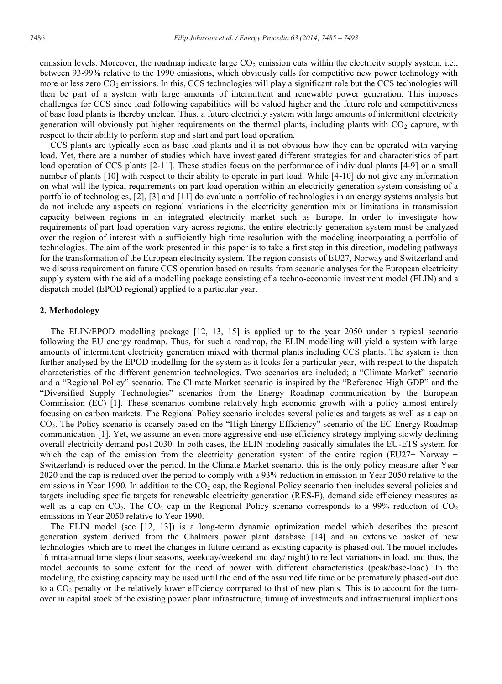emission levels. Moreover, the roadmap indicate large  $CO<sub>2</sub>$  emission cuts within the electricity supply system, i.e., between 93-99% relative to the 1990 emissions, which obviously calls for competitive new power technology with more or less zero  $CO<sub>2</sub>$  emissions. In this, CCS technologies will play a significant role but the CCS technologies will then be part of a system with large amounts of intermittent and renewable power generation. This imposes challenges for CCS since load following capabilities will be valued higher and the future role and competitiveness of base load plants is thereby unclear. Thus, a future electricity system with large amounts of intermittent electricity generation will obviously put higher requirements on the thermal plants, including plants with  $CO<sub>2</sub>$  capture, with respect to their ability to perform stop and start and part load operation.

CCS plants are typically seen as base load plants and it is not obvious how they can be operated with varying load. Yet, there are a number of studies which have investigated different strategies for and characteristics of part load operation of CCS plants [2-11]. These studies focus on the performance of individual plants [4-9] or a small number of plants [10] with respect to their ability to operate in part load. While [4-10] do not give any information on what will the typical requirements on part load operation within an electricity generation system consisting of a portfolio of technologies, [2], [3] and [11] do evaluate a portfolio of technologies in an energy systems analysis but do not include any aspects on regional variations in the electricity generation mix or limitations in transmission capacity between regions in an integrated electricity market such as Europe. In order to investigate how requirements of part load operation vary across regions, the entire electricity generation system must be analyzed over the region of interest with a sufficiently high time resolution with the modeling incorporating a portfolio of technologies. The aim of the work presented in this paper is to take a first step in this direction, modeling pathways for the transformation of the European electricity system. The region consists of EU27, Norway and Switzerland and we discuss requirement on future CCS operation based on results from scenario analyses for the European electricity supply system with the aid of a modelling package consisting of a techno-economic investment model (ELIN) and a dispatch model (EPOD regional) applied to a particular year.

#### **2. Methodology**

The ELIN/EPOD modelling package [12, 13, 15] is applied up to the year 2050 under a typical scenario following the EU energy roadmap. Thus, for such a roadmap, the ELIN modelling will yield a system with large amounts of intermittent electricity generation mixed with thermal plants including CCS plants. The system is then further analysed by the EPOD modelling for the system as it looks for a particular year, with respect to the dispatch characteristics of the different generation technologies. Two scenarios are included; a "Climate Market" scenario and a "Regional Policy" scenario. The Climate Market scenario is inspired by the "Reference High GDP" and the "Diversified Supply Technologies" scenarios from the Energy Roadmap communication by the European Commission (EC) [1]. These scenarios combine relatively high economic growth with a policy almost entirely focusing on carbon markets. The Regional Policy scenario includes several policies and targets as well as a cap on CO2. The Policy scenario is coarsely based on the "High Energy Efficiency" scenario of the EC Energy Roadmap communication [1]. Yet, we assume an even more aggressive end-use efficiency strategy implying slowly declining overall electricity demand post 2030. In both cases, the ELIN modeling basically simulates the EU-ETS system for which the cap of the emission from the electricity generation system of the entire region (EU27+ Norway + Switzerland) is reduced over the period. In the Climate Market scenario, this is the only policy measure after Year 2020 and the cap is reduced over the period to comply with a 93% reduction in emission in Year 2050 relative to the emissions in Year 1990. In addition to the  $CO<sub>2</sub>$  cap, the Regional Policy scenario then includes several policies and targets including specific targets for renewable electricity generation (RES-E), demand side efficiency measures as well as a cap on  $CO_2$ . The  $CO_2$  cap in the Regional Policy scenario corresponds to a 99% reduction of  $CO_2$ emissions in Year 2050 relative to Year 1990.

The ELIN model (see [12, 13]) is a long-term dynamic optimization model which describes the present generation system derived from the Chalmers power plant database [14] and an extensive basket of new technologies which are to meet the changes in future demand as existing capacity is phased out. The model includes 16 intra-annual time steps (four seasons, weekday/weekend and day/ night) to reflect variations in load, and thus, the model accounts to some extent for the need of power with different characteristics (peak/base-load). In the modeling, the existing capacity may be used until the end of the assumed life time or be prematurely phased-out due to a  $CO<sub>2</sub>$  penalty or the relatively lower efficiency compared to that of new plants. This is to account for the turnover in capital stock of the existing power plant infrastructure, timing of investments and infrastructural implications